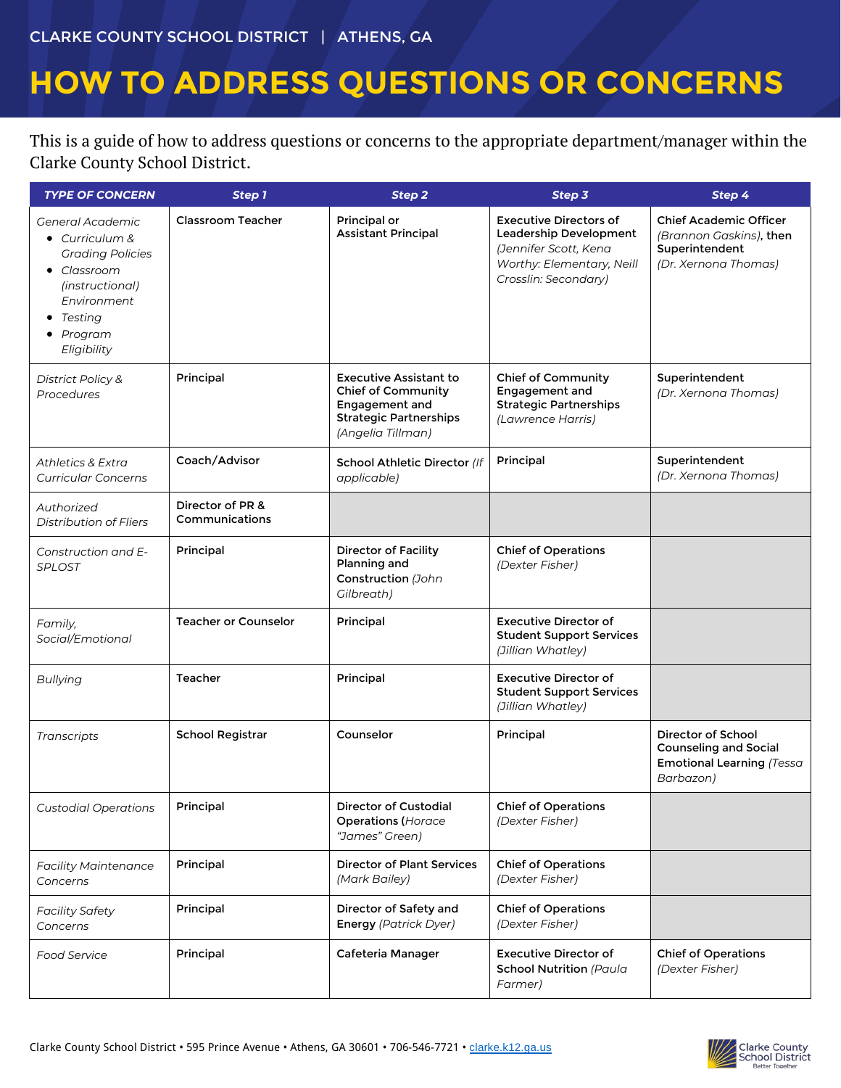### CLARKE COUNTY SCHOOL DISTRICT | ATHENS, GA

# **HOW TO ADDRESS QUESTIONS OR CONCERNS**

This is a guide of how to address questions or concerns to the appropriate department/manager within the Clarke County School District.

| <b>TYPE OF CONCERN</b>                                                                                                                                        | Step 1                             | Step 2                                                                                                                             | Step 3                                                                                                                                | Step 4                                                                                             |
|---------------------------------------------------------------------------------------------------------------------------------------------------------------|------------------------------------|------------------------------------------------------------------------------------------------------------------------------------|---------------------------------------------------------------------------------------------------------------------------------------|----------------------------------------------------------------------------------------------------|
| General Academic<br>$\bullet$ Curriculum &<br><b>Grading Policies</b><br>• Classroom<br>(instructional)<br>Environment<br>Testina<br>• Program<br>Eligibility | <b>Classroom Teacher</b>           | Principal or<br><b>Assistant Principal</b>                                                                                         | <b>Executive Directors of</b><br>Leadership Development<br>(Jennifer Scott, Kena<br>Worthy: Elementary, Neill<br>Crosslin: Secondary) | <b>Chief Academic Officer</b><br>(Brannon Gaskins), then<br>Superintendent<br>(Dr. Xernona Thomas) |
| <b>District Policy &amp;</b><br>Procedures                                                                                                                    | Principal                          | <b>Executive Assistant to</b><br><b>Chief of Community</b><br>Engagement and<br><b>Strategic Partnerships</b><br>(Angelia Tillman) | <b>Chief of Community</b><br>Engagement and<br><b>Strategic Partnerships</b><br>(Lawrence Harris)                                     | Superintendent<br>(Dr. Xernona Thomas)                                                             |
| Athletics & Extra<br><b>Curricular Concerns</b>                                                                                                               | Coach/Advisor                      | School Athletic Director (If<br>applicable)                                                                                        | Principal                                                                                                                             | Superintendent<br>(Dr. Xernona Thomas)                                                             |
| Authorized<br><b>Distribution of Fliers</b>                                                                                                                   | Director of PR &<br>Communications |                                                                                                                                    |                                                                                                                                       |                                                                                                    |
| Construction and E-<br><b>SPLOST</b>                                                                                                                          | Principal                          | <b>Director of Facility</b><br>Planning and<br>Construction (John<br>Gilbreath)                                                    | <b>Chief of Operations</b><br>(Dexter Fisher)                                                                                         |                                                                                                    |
| Family,<br>Social/Emotional                                                                                                                                   | <b>Teacher or Counselor</b>        | Principal                                                                                                                          | <b>Executive Director of</b><br><b>Student Support Services</b><br>(Jillian Whatley)                                                  |                                                                                                    |
| <b>Bullying</b>                                                                                                                                               | Teacher                            | Principal                                                                                                                          | <b>Executive Director of</b><br><b>Student Support Services</b><br>(Jillian Whatley)                                                  |                                                                                                    |
| Transcripts                                                                                                                                                   | <b>School Registrar</b>            | Counselor                                                                                                                          | Principal                                                                                                                             | Director of School<br><b>Counseling and Social</b><br>Emotional Learning (Tessa<br>Barbazon)       |
| <b>Custodial Operations</b>                                                                                                                                   | Principal                          | Director of Custodial<br><b>Operations (Horace</b><br>"James" Green)                                                               | <b>Chief of Operations</b><br>(Dexter Fisher)                                                                                         |                                                                                                    |
| <b>Facility Maintenance</b><br>Concerns                                                                                                                       | Principal                          | <b>Director of Plant Services</b><br>(Mark Bailey)                                                                                 | <b>Chief of Operations</b><br>(Dexter Fisher)                                                                                         |                                                                                                    |
| <b>Facility Safety</b><br>Concerns                                                                                                                            | Principal                          | Director of Safety and<br><b>Energy</b> (Patrick Dyer)                                                                             | <b>Chief of Operations</b><br>(Dexter Fisher)                                                                                         |                                                                                                    |
| <b>Food Service</b>                                                                                                                                           | Principal                          | Cafeteria Manager                                                                                                                  | <b>Executive Director of</b><br><b>School Nutrition (Paula</b><br>Farmer)                                                             | <b>Chief of Operations</b><br>(Dexter Fisher)                                                      |

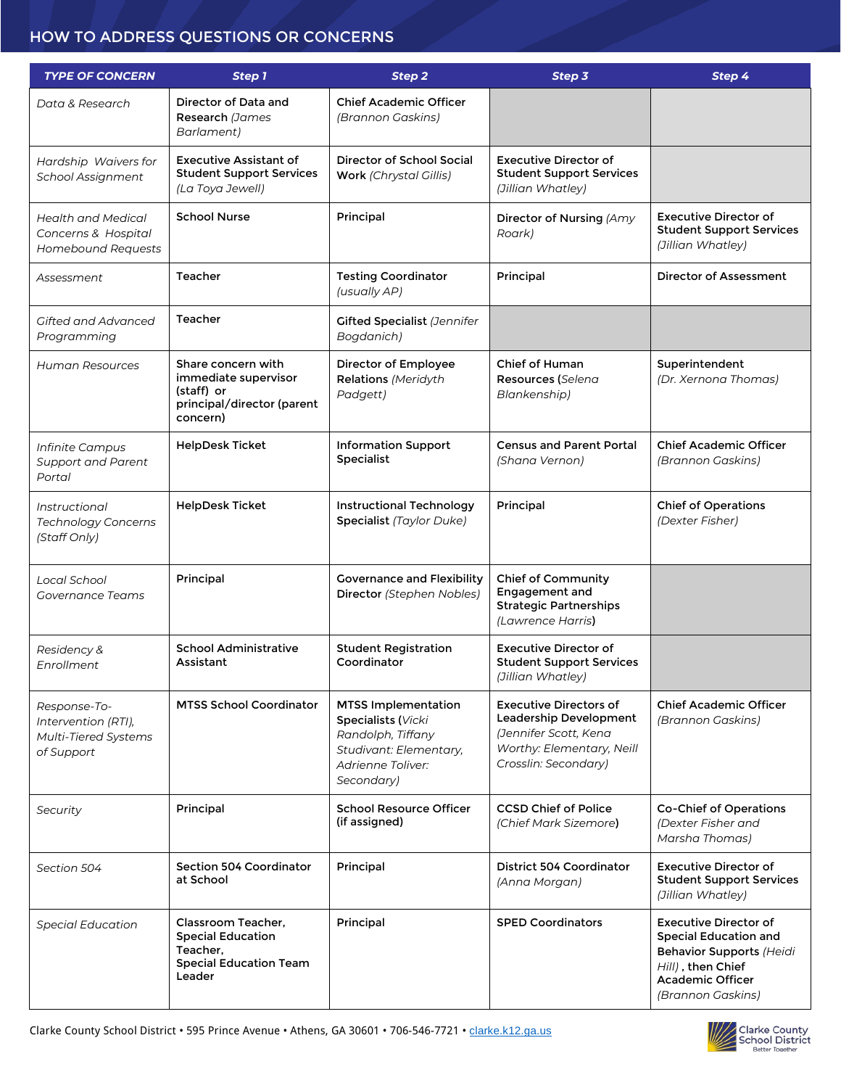#### HOW TO ADDRESS QUESTIONS OR CONCERNS

| <b>TYPE OF CONCERN</b>                                                    | Step 1                                                                                                | Step 2                                                                                                                             | Step 3                                                                                                                                | Step 4                                                                                                                                                               |
|---------------------------------------------------------------------------|-------------------------------------------------------------------------------------------------------|------------------------------------------------------------------------------------------------------------------------------------|---------------------------------------------------------------------------------------------------------------------------------------|----------------------------------------------------------------------------------------------------------------------------------------------------------------------|
| Data & Research                                                           | Director of Data and<br>Research (James<br>Barlament)                                                 | <b>Chief Academic Officer</b><br>(Brannon Gaskins)                                                                                 |                                                                                                                                       |                                                                                                                                                                      |
| Hardship Waivers for<br>School Assignment                                 | Executive Assistant of<br><b>Student Support Services</b><br>(La Toya Jewell)                         | Director of School Social<br><b>Work</b> (Chrystal Gillis)                                                                         | <b>Executive Director of</b><br><b>Student Support Services</b><br>(Jillian Whatley)                                                  |                                                                                                                                                                      |
| Health and Medical<br>Concerns & Hospital<br>Homebound Requests           | <b>School Nurse</b>                                                                                   | Principal                                                                                                                          | Director of Nursing (Amy<br>Roark)                                                                                                    | <b>Executive Director of</b><br><b>Student Support Services</b><br>(Jillian Whatley)                                                                                 |
| Assessment                                                                | Teacher                                                                                               | <b>Testing Coordinator</b><br>(usually AP)                                                                                         | Principal                                                                                                                             | Director of Assessment                                                                                                                                               |
| Gifted and Advanced<br>Programming                                        | Teacher                                                                                               | <b>Gifted Specialist (Jennifer</b><br>Bogdanich)                                                                                   |                                                                                                                                       |                                                                                                                                                                      |
| <b>Human Resources</b>                                                    | Share concern with<br>immediate supervisor<br>(staff) or<br>principal/director (parent<br>concern)    | Director of Employee<br>Relations (Meridyth<br>Padgett)                                                                            | Chief of Human<br>Resources (Selena<br>Blankenship)                                                                                   | Superintendent<br>(Dr. Xernona Thomas)                                                                                                                               |
| Infinite Campus<br><b>Support and Parent</b><br>Portal                    | <b>HelpDesk Ticket</b>                                                                                | <b>Information Support</b><br>Specialist                                                                                           | <b>Census and Parent Portal</b><br>(Shana Vernon)                                                                                     | <b>Chief Academic Officer</b><br>(Brannon Gaskins)                                                                                                                   |
| Instructional<br>Technology Concerns<br>(Staff Only)                      | <b>HelpDesk Ticket</b>                                                                                | <b>Instructional Technology</b><br><b>Specialist</b> (Taylor Duke)                                                                 | Principal                                                                                                                             | <b>Chief of Operations</b><br>(Dexter Fisher)                                                                                                                        |
| Local School<br><b>Governance Teams</b>                                   | Principal                                                                                             | <b>Governance and Flexibility</b><br>Director (Stephen Nobles)                                                                     | <b>Chief of Community</b><br>Engagement and<br><b>Strategic Partnerships</b><br>(Lawrence Harris)                                     |                                                                                                                                                                      |
| Residency &<br>Enrollment                                                 | <b>School Administrative</b><br>Assistant                                                             | <b>Student Registration</b><br>Coordinator                                                                                         | <b>Executive Director of</b><br><b>Student Support Services</b><br>(Jillian Whatley)                                                  |                                                                                                                                                                      |
| Response-To-<br>Intervention (RTI),<br>Multi-Tiered Systems<br>of Support | <b>MTSS School Coordinator</b>                                                                        | <b>MTSS Implementation</b><br>Specialists (Vicki<br>Randolph, Tiffany<br>Studivant: Elementary,<br>Adrienne Toliver:<br>Secondary) | <b>Executive Directors of</b><br>Leadership Development<br>(Jennifer Scott, Kena<br>Worthy: Elementary, Neill<br>Crosslin: Secondary) | <b>Chief Academic Officer</b><br>(Brannon Gaskins)                                                                                                                   |
| Security                                                                  | Principal                                                                                             | <b>School Resource Officer</b><br>(if assigned)                                                                                    | <b>CCSD Chief of Police</b><br>(Chief Mark Sizemore)                                                                                  | <b>Co-Chief of Operations</b><br>(Dexter Fisher and<br>Marsha Thomas)                                                                                                |
| Section 504                                                               | Section 504 Coordinator<br>at School                                                                  | Principal                                                                                                                          | District 504 Coordinator<br>(Anna Morgan)                                                                                             | <b>Executive Director of</b><br><b>Student Support Services</b><br>(Jillian Whatley)                                                                                 |
| <b>Special Education</b>                                                  | Classroom Teacher,<br><b>Special Education</b><br>Teacher,<br><b>Special Education Team</b><br>Leader | Principal                                                                                                                          | <b>SPED Coordinators</b>                                                                                                              | <b>Executive Director of</b><br><b>Special Education and</b><br><b>Behavior Supports (Heidi</b><br>Hill), then Chief<br><b>Academic Officer</b><br>(Brannon Gaskins) |